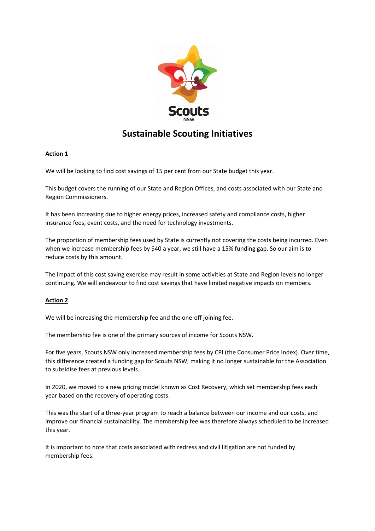

# **Sustainable Scouting Initiatives**

# **Action 1**

We will be looking to find cost savings of 15 per cent from our State budget this year.

This budget covers the running of our State and Region Offices, and costs associated with our State and Region Commissioners.

It has been increasing due to higher energy prices, increased safety and compliance costs, higher insurance fees, event costs, and the need for technology investments.

The proportion of membership fees used by State is currently not covering the costs being incurred. Even when we increase membership fees by \$40 a year, we still have a 15% funding gap. So our aim is to reduce costs by this amount.

The impact of this cost saving exercise may result in some activities at State and Region levels no longer continuing. We will endeavour to find cost savings that have limited negative impacts on members.

# **Action 2**

We will be increasing the membership fee and the one-off joining fee.

The membership fee is one of the primary sources of income for Scouts NSW.

For five years, Scouts NSW only increased membership fees by CPI (the Consumer Price Index). Over time, this difference created a funding gap for Scouts NSW, making it no longer sustainable for the Association to subsidise fees at previous levels.

In 2020, we moved to a new pricing model known as Cost Recovery, which set membership fees each year based on the recovery of operating costs.

This was the start of a three-year program to reach a balance between our income and our costs, and improve our financial sustainability. The membership fee was therefore always scheduled to be increased this year.

It is important to note that costs associated with redress and civil litigation are not funded by membership fees.